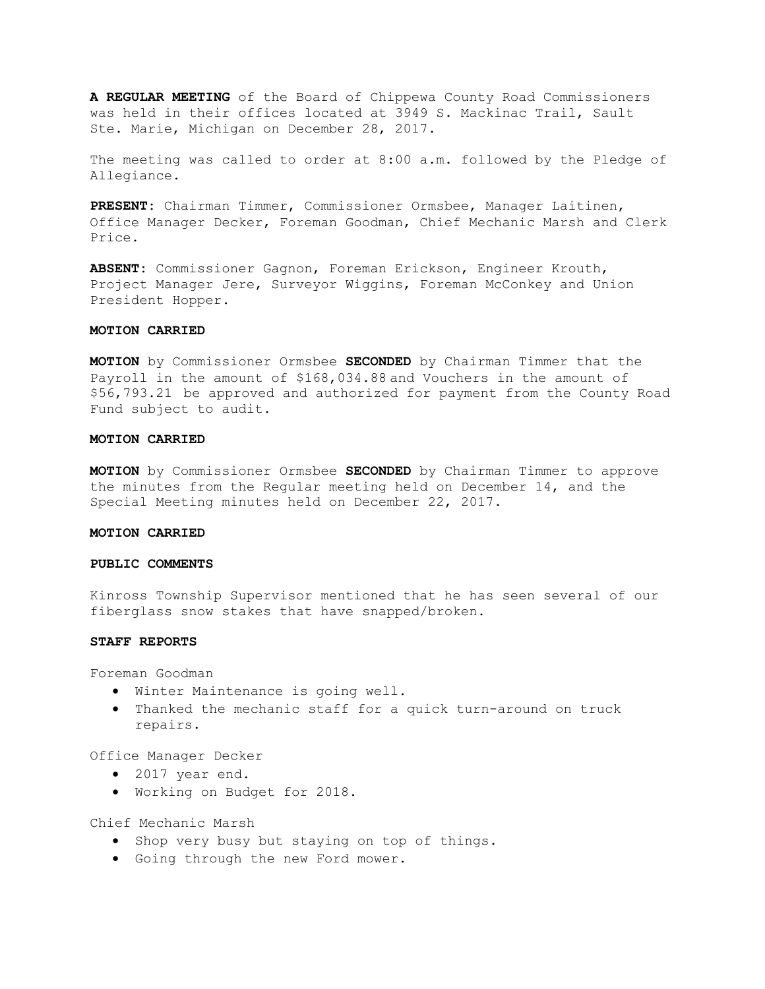**A REGULAR MEETING** of the Board of Chippewa County Road Commissioners was held in their offices located at 3949 S. Mackinac Trail, Sault Ste. Marie, Michigan on December 28, 2017.

The meeting was called to order at 8:00 a.m. followed by the Pledge of Allegiance.

**PRESENT:** Chairman Timmer, Commissioner Ormsbee, Manager Laitinen, Office Manager Decker, Foreman Goodman, Chief Mechanic Marsh and Clerk Price.

**ABSENT:** Commissioner Gagnon, Foreman Erickson, Engineer Krouth, Project Manager Jere, Surveyor Wiggins, Foreman McConkey and Union President Hopper.

## **MOTION CARRIED**

**MOTION** by Commissioner Ormsbee **SECONDED** by Chairman Timmer that the Payroll in the amount of \$168,034.88 and Vouchers in the amount of \$56,793.21 be approved and authorized for payment from the County Road Fund subject to audit.

# **MOTION CARRIED**

**MOTION** by Commissioner Ormsbee **SECONDED** by Chairman Timmer to approve the minutes from the Regular meeting held on December 14, and the Special Meeting minutes held on December 22, 2017.

# **MOTION CARRIED**

# **PUBLIC COMMENTS**

Kinross Township Supervisor mentioned that he has seen several of our fiberglass snow stakes that have snapped/broken.

### **STAFF REPORTS**

Foreman Goodman

- Winter Maintenance is going well.
- Thanked the mechanic staff for a quick turn-around on truck repairs.

Office Manager Decker

- 2017 year end.
- Working on Budget for 2018.

Chief Mechanic Marsh

- Shop very busy but staying on top of things.
- Going through the new Ford mower.